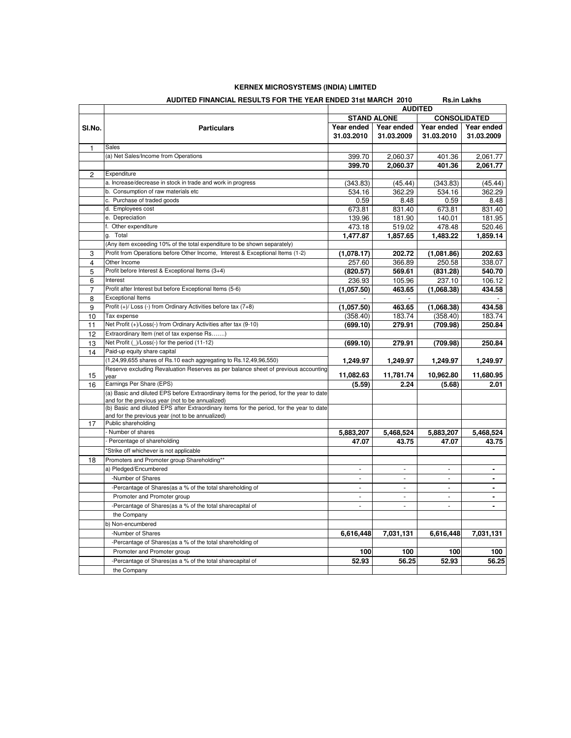## **KERNEX MICROSYSTEMS (INDIA) LIMITED**

|                | AUDITED FINANCIAL RESULTS FOR THE YEAR ENDED 31ST MARCH 2010                                                                                 |                                                             |                |                | <b>RS.IN LAKNS</b> |
|----------------|----------------------------------------------------------------------------------------------------------------------------------------------|-------------------------------------------------------------|----------------|----------------|--------------------|
|                |                                                                                                                                              | <b>AUDITED</b><br><b>STAND ALONE</b><br><b>CONSOLIDATED</b> |                |                |                    |
| SI.No.         | <b>Particulars</b>                                                                                                                           | Year ended                                                  | Year ended     | Year ended     | Year ended         |
|                |                                                                                                                                              | 31.03.2010                                                  | 31.03.2009     | 31.03.2010     | 31.03.2009         |
| 1              | Sales                                                                                                                                        |                                                             |                |                |                    |
|                | (a) Net Sales/Income from Operations                                                                                                         | 399.70                                                      | 2,060.37       | 401.36         | 2,061.77           |
|                |                                                                                                                                              | 399.70                                                      | 2,060.37       | 401.36         | 2,061.77           |
| $\overline{c}$ | Expenditure                                                                                                                                  |                                                             |                |                |                    |
|                | a. Increase/decrease in stock in trade and work in progress                                                                                  | (343.83)                                                    | (45.44)        | (343.83)       | (45.44)            |
|                | b. Consumption of raw materials etc                                                                                                          | 534.16                                                      | 362.29         | 534.16         | 362.29             |
|                | c. Purchase of traded goods                                                                                                                  | 0.59                                                        | 8.48           | 0.59           | 8.48               |
|                | d. Employees cost                                                                                                                            | 673.81                                                      | 831.40         | 673.81         | 831.40             |
|                | e. Depreciation                                                                                                                              | 139.96                                                      | 181.90         | 140.01         | 181.95             |
|                | f. Other expenditure                                                                                                                         | 473.18                                                      | 519.02         | 478.48         | 520.46             |
|                | g. Total                                                                                                                                     | 1,477.87                                                    | 1,857.65       | 1,483.22       | 1,859.14           |
|                | (Any item exceeding 10% of the total expenditure to be shown separately)                                                                     |                                                             |                |                |                    |
| 3              | Profit from Operations before Other Income, Interest & Exceptional Items (1-2)                                                               | (1,078.17)                                                  | 202.72         | (1,081.86)     | 202.63             |
| $\overline{4}$ | Other Income                                                                                                                                 | 257.60                                                      | 366.89         | 250.58         | 338.07             |
| 5              | Profit before Interest & Exceptional Items (3+4)                                                                                             | (820.57)                                                    | 569.61         | (831.28)       | 540.70             |
| 6              | Interest                                                                                                                                     | 236.93                                                      | 105.96         | 237.10         | 106.12             |
| 7              | Profit after Interest but before Exceptional Items (5-6)                                                                                     | (1,057.50)                                                  | 463.65         | (1,068.38)     | 434.58             |
| 8              | <b>Exceptional Items</b>                                                                                                                     |                                                             |                |                |                    |
| 9              | Profit (+)/ Loss (-) from Ordinary Activities before tax (7+8)                                                                               | (1,057.50)                                                  | 463.65         | (1,068.38)     | 434.58             |
| 10             | Tax expense                                                                                                                                  | (358.40)                                                    | 183.74         | (358.40)       | 183.74             |
| 11             | Net Profit (+)/Loss(-) from Ordinary Activities after tax (9-10)                                                                             | (699.10)                                                    | 279.91         | (709.98)       | 250.84             |
| 12             | Extraordinary Item (net of tax expense Rs)                                                                                                   |                                                             |                |                |                    |
| 13             | Net Profit (_)/Loss(-) for the period (11-12)                                                                                                | (699.10)                                                    | 279.91         | (709.98)       | 250.84             |
| 14             | Paid-up equity share capital                                                                                                                 |                                                             |                |                |                    |
|                | (1,24,99,655 shares of Rs.10 each aggregating to Rs.12,49,96,550)                                                                            | 1,249.97                                                    | 1,249.97       | 1,249.97       | 1,249.97           |
| 15             | Reserve excluding Revaluation Reserves as per balance sheet of previous accounting<br>year                                                   | 11,082.63                                                   | 11,781.74      | 10,962.80      | 11,680.95          |
| 16             | Earnings Per Share (EPS)                                                                                                                     | (5.59)                                                      | 2.24           | (5.68)         | 2.01               |
|                | (a) Basic and diluted EPS before Extraordinary items for the period, for the year to date                                                    |                                                             |                |                |                    |
|                | and for the previous year (not to be annualized)                                                                                             |                                                             |                |                |                    |
|                | (b) Basic and diluted EPS after Extraordinary items for the period, for the year to date<br>and for the previous year (not to be annualized) |                                                             |                |                |                    |
| 17             | Public shareholding                                                                                                                          |                                                             |                |                |                    |
|                | Number of shares                                                                                                                             | 5,883,207                                                   | 5,468,524      | 5,883,207      | 5,468,524          |
|                | - Percentage of shareholding                                                                                                                 | 47.07                                                       | 43.75          | 47.07          | 43.75              |
|                | *Strike off whichever is not applicable                                                                                                      |                                                             |                |                |                    |
| 18             | Promoters and Promoter group Shareholding**                                                                                                  |                                                             |                |                |                    |
|                | a) Pledged/Encumbered                                                                                                                        |                                                             |                |                | ٠                  |
|                | -Number of Shares                                                                                                                            | $\overline{a}$                                              | $\overline{a}$ | $\overline{a}$ |                    |
|                | -Percantage of Shares(as a % of the total shareholding of                                                                                    | $\overline{a}$                                              | $\overline{a}$ | $\overline{a}$ | ä,                 |
|                | Promoter and Promoter group                                                                                                                  | $\overline{\phantom{a}}$                                    | $\mathbf{r}$   | $\overline{a}$ | ×                  |
|                | -Percantage of Shares(as a % of the total sharecapital of                                                                                    | $\overline{a}$                                              | $\overline{a}$ | $\overline{a}$ | ä,                 |
|                | the Company                                                                                                                                  |                                                             |                |                |                    |
|                | b) Non-encumbered                                                                                                                            |                                                             |                |                |                    |
|                | -Number of Shares                                                                                                                            | 6,616,448                                                   | 7,031,131      | 6,616,448      | 7,031,131          |
|                | -Percantage of Shares(as a % of the total shareholding of                                                                                    |                                                             |                |                |                    |
|                | Promoter and Promoter group                                                                                                                  | 100                                                         | 100            | 100            | 100                |
|                | -Percantage of Shares(as a % of the total sharecapital of                                                                                    | 52.93                                                       | 56.25          | 52.93          | 56.25              |
|                | the Company                                                                                                                                  |                                                             |                |                |                    |

## **AUDITED FINANCIAL RESULTS FOR THE YEAR ENDED 31st MARCH 2010 Rs.in Lakhs**